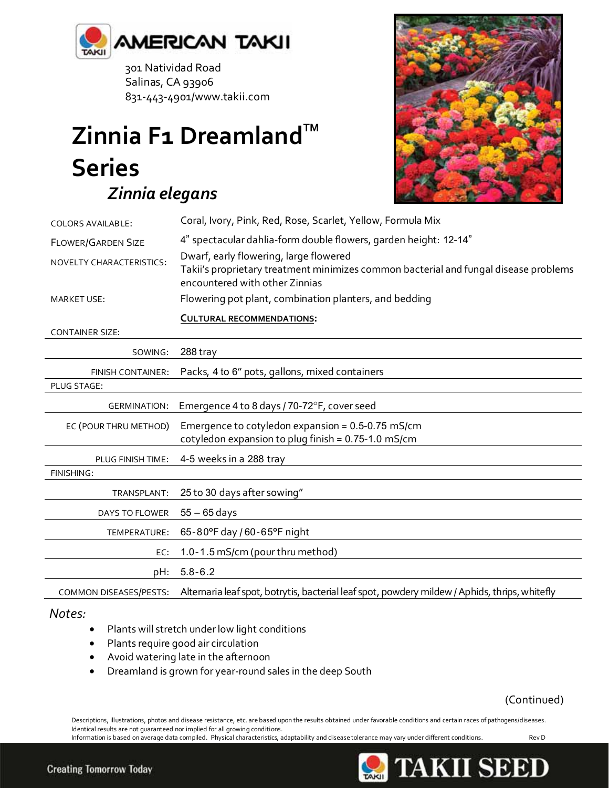

 301 Natividad Road Salinas, CA 93906 831-443-4901/www.takii.com

## **Zinnia F1 Dreamland™ Series**  *Zinnia elegans*



| <b>COLORS AVAILABLE:</b>  | Coral, Ivory, Pink, Red, Rose, Scarlet, Yellow, Formula Mix                                                                                                      |
|---------------------------|------------------------------------------------------------------------------------------------------------------------------------------------------------------|
| <b>FLOWER/GARDEN SIZE</b> | 4" spectacular dahlia-form double flowers, garden height: 12-14"                                                                                                 |
| NOVELTY CHARACTERISTICS:  | Dwarf, early flowering, large flowered<br>Takii's proprietary treatment minimizes common bacterial and fungal disease problems<br>encountered with other Zinnias |
| <b>MARKET USE:</b>        | Flowering pot plant, combination planters, and bedding                                                                                                           |
|                           | <b>CULTURAL RECOMMENDATIONS:</b>                                                                                                                                 |
| <b>CONTAINER SIZE:</b>    |                                                                                                                                                                  |
| SOWING:                   | 288 tray                                                                                                                                                         |
| FINISH CONTAINER:         | Packs, 4 to 6" pots, gallons, mixed containers                                                                                                                   |
| PLUG STAGE:               |                                                                                                                                                                  |
| <b>GERMINATION:</b>       | Emergence 4 to 8 days / 70-72°F, cover seed                                                                                                                      |
| EC (POUR THRU METHOD)     | Emergence to cotyledon expansion = $0.5$ -0.75 mS/cm<br>cotyledon expansion to plug finish = 0.75-1.0 mS/cm                                                      |
| PLUG FINISH TIME:         | 4-5 weeks in a 288 tray                                                                                                                                          |
| FINISHING:                |                                                                                                                                                                  |
| TRANSPLANT:               | 25 to 30 days after sowing"                                                                                                                                      |
| DAYS TO FLOWER            | $55 - 65$ days                                                                                                                                                   |
| TEMPERATURE:              | 65-80°F day / 60-65°F night                                                                                                                                      |
| EC:                       | 1.0-1.5 mS/cm (pour thru method)                                                                                                                                 |
| pH:                       | $5.8 - 6.2$                                                                                                                                                      |

COMMON DISEASES/PESTS: Alternaria leaf spot, botrytis, bacterial leaf spot, powdery mildew / Aphids, thrips, whitefly

## *Notes:*

- Plants will stretch under low light conditions
- Plants require good air circulation
- Avoid watering late in the afternoon
- Dreamland is grown for year-round sales in the deep South

(Continued)

Descriptions, illustrations, photos and disease resistance, etc. are based upon the results obtained under favorable conditions and certain races of pathogens/diseases. Identical results are not guaranteed nor implied for all growing conditions. Information is based on average data compiled. Physical characteristics, adaptability and disease tolerance may vary under different conditions. Rev D



**TAKII SEED**